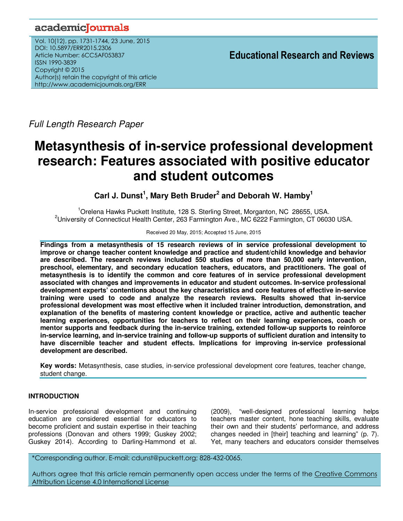# academiclournals

Vol. 10(12), pp. 1731-1744, 23 June, 2015 DOI: 10.5897/ERR2015.2306 Article Number: 6CC5AF053837 ISSN 1990-3839 Copyright © 2015 Author(s) retain the copyright of this article http://www.academicjournals.org/ERR

**Educational Research and Reviews**

Full Length Research Paper

# **Metasynthesis of in-service professional development research: Features associated with positive educator and student outcomes**

**Carl J. Dunst<sup>1</sup> , Mary Beth Bruder<sup>2</sup> and Deborah W. Hamby<sup>1</sup>**

<sup>1</sup>Orelena Hawks Puckett Institute, 128 S. Sterling Street, Morganton, NC 28655, USA. <sup>2</sup>University of Connecticut Health Center, 263 Farmington Ave., MC 6222 Farmington, CT 06030 USA.

#### Received 20 May, 2015; Accepted 15 June, 2015

**Findings from a metasynthesis of 15 research reviews of in service professional development to improve or change teacher content knowledge and practice and student/child knowledge and behavior are described. The research reviews included 550 studies of more than 50,000 early intervention, preschool, elementary, and secondary education teachers, educators, and practitioners. The goal of metasynthesis is to identify the common and core features of in service professional development associated with changes and improvements in educator and student outcomes. In-service professional development experts' contentions about the key characteristics and core features of effective in-service training were used to code and analyze the research reviews. Results showed that in-service professional development was most effective when it included trainer introduction, demonstration, and explanation of the benefits of mastering content knowledge or practice, active and authentic teacher learning experiences, opportunities for teachers to reflect on their learning experiences, coach or mentor supports and feedback during the in-service training, extended follow-up supports to reinforce in-service learning, and in-service training and follow-up supports of sufficient duration and intensity to have discernible teacher and student effects. Implications for improving in-service professional development are described.** 

**Key words:** Metasynthesis, case studies, in-service professional development core features, teacher change, student change.

# **INTRODUCTION**

In-service professional development and continuing education are considered essential for educators to become proficient and sustain expertise in their teaching professions (Donovan and others 1999; Guskey 2002; Guskey 2014). According to Darling-Hammond et al.

(2009), "well-designed professional learning helps teachers master content, hone teaching skills, evaluate their own and their students' performance, and address changes needed in [their] teaching and learning" (p. 7). Yet, many teachers and educators consider themselves

\*Corresponding author. E-mail: cdunst@puckett.org; 828-432-0065.

Authors agree that this article remain permanently open access under the terms of the Creative Commons Attribution License 4.0 International License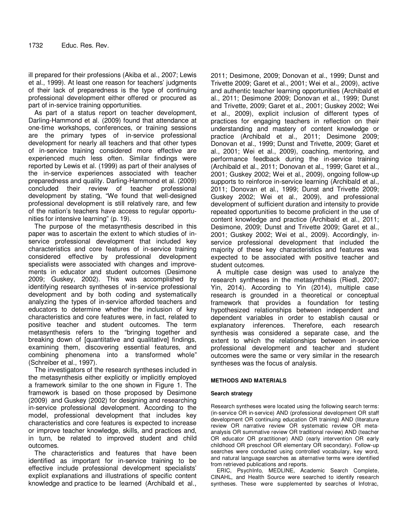ill prepared for their professions (Akiba et al., 2007; Lewis et al., 1999). At least one reason for teachers' judgments of their lack of preparedness is the type of continuing professional development either offered or procured as part of in-service training opportunities.

As part of a status report on teacher development, Darling-Hammond et al. (2009) found that attendance at one-time workshops, conferences, or training sessions are the primary types of in-service professional development for nearly all teachers and that other types of in-service training considered more effective are experienced much less often. Similar findings were reported by Lewis et al. (1999) as part of their analyses of the in-service experiences associated with teacher preparedness and quality. Darling-Hammond et al. (2009) concluded their review of teacher professional development by stating, "We found that well-designed professional development is still relatively rare, and few of the nation's teachers have access to regular opportunities for intensive learning" (p. 19).

The purpose of the metasynthesis described in this paper was to ascertain the extent to which studies of inservice professional development that included key characteristics and core features of in-service training considered effective by professional development specialists were associated with changes and improvements in educator and student outcomes (Desimone 2009; Guskey, 2002). This was accomplished by identifying research syntheses of in-service professional development and by both coding and systematically analyzing the types of in-service afforded teachers and educators to determine whether the inclusion of key characteristics and core features were, in fact, related to positive teacher and student outcomes. The term metasynthesis refers to the "bringing together and breaking down of [quantitative and qualitative] findings, examining them, discovering essential features, and combining phenomena into a transformed whole" (Schreiber et al., 1997).

The investigators of the research syntheses included in the metasynthesis either explicitly or implicitly employed a framework similar to the one shown in Figure 1. The framework is based on those proposed by Desimone (2009) and Guskey (2002) for designing and researching in-service professional development. According to the model, professional development that includes key characteristics and core features is expected to increase or improve teacher knowledge, skills, and practices and, in turn, be related to improved student and child outcomes.

The characteristics and features that have been identified as important for in-service training to be effective include professional development specialists' explicit explanations and illustrations of specific content knowledge and practice to be learned (Archibald et al., 2011; Desimone, 2009; Donovan et al., 1999; Dunst and Trivette 2009; Garet et al., 2001; Wei et al., 2009), active and authentic teacher learning opportunities (Archibald et al., 2011; Desimone 2009; Donovan et al., 1999; Dunst and Trivette, 2009; Garet et al., 2001; Guskey 2002; Wei et al., 2009), explicit inclusion of different types of practices for engaging teachers in reflection on their understanding and mastery of content knowledge or practice (Archibald et al., 2011; Desimone 2009; Donovan et al., 1999; Dunst and Trivette, 2009; Garet et al., 2001; Wei et al., 2009), coaching, mentoring, and performance feedback during the in-service training (Archibald et al., 2011; Donovan et al., 1999; Garet et al., 2001; Guskey 2002; Wei et al., 2009), ongoing follow-up supports to reinforce in-service learning (Archibald et al., 2011; Donovan et al., 1999; Dunst and Trivette 2009; Guskey 2002; Wei et al., 2009), and professional development of sufficient duration and intensity to provide repeated opportunities to become proficient in the use of content knowledge and practice (Archibald et al., 2011; Desimone, 2009; Dunst and Trivette 2009; Garet et al., 2001; Guskey 2002; Wei et al., 2009). Accordingly, inservice professional development that included the majority of these key characteristics and features was expected to be associated with positive teacher and student outcomes.

A multiple case design was used to analyze the research syntheses in the metasynthesis (Riedl, 2007; Yin, 2014). According to Yin (2014), multiple case research is grounded in a theoretical or conceptual framework that provides a foundation for testing hypothesized relationships between independent and dependent variables in order to establish causal or explanatory inferences. Therefore, each research synthesis was considered a separate case, and the extent to which the relationships between in-service professional development and teacher and student outcomes were the same or very similar in the research syntheses was the focus of analysis.

#### **METHODS AND MATERIALS**

#### **Search strategy**

Research syntheses were located using the following search terms: (in-service OR in-service) AND (professional development OR staff development OR continuing education OR training) AND (literature review OR narrative review OR systematic review OR metaanalysis OR summative review OR traditional review) AND (teacher OR educator OR practitioner) AND (early intervention OR early childhood OR preschool OR elementary OR secondary). Follow-up searches were conducted using controlled vocabulary, key word, and natural language searches as alternative terms were identified from retrieved publications and reports.

ERIC, PsychInfo, MEDLINE, Academic Search Complete, CINAHL, and Health Source were searched to identify research syntheses. These were supplemented by searches of Infotrac,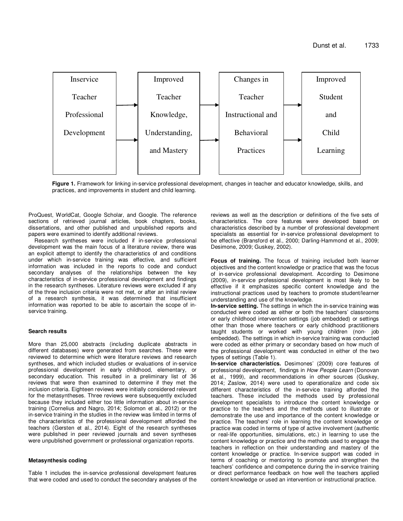

**Figure 1.** Framework for linking in-service professional development, changes in teacher and educator knowledge, skills, and practices, and improvements in student and child learning.

ProQuest, WorldCat, Google Scholar, and Google. The reference sections of retrieved journal articles, book chapters, books, dissertations, and other published and unpublished reports and papers were examined to identify additional reviews.

Research syntheses were included if in-service professional development was the main focus of a literature review, there was an explicit attempt to identify the characteristics of and conditions under which in-service training was effective, and sufficient information was included in the reports to code and conduct secondary analyses of the relationships between the key characteristics of in-service professional development and findings in the research syntheses. Literature reviews were excluded if any of the three inclusion criteria were not met, or after an initial review of a research synthesis, it was determined that insufficient information was reported to be able to ascertain the scope of inservice training.

#### **Search results**

More than 25,000 abstracts (including duplicate abstracts in different databases) were generated from searches. These were reviewed to determine which were literature reviews and research syntheses, and which included studies or evaluations of in-service professional development in early childhood, elementary, or secondary education. This resulted in a preliminary list of 36 reviews that were then examined to determine if they met the inclusion criteria. Eighteen reviews were initially considered relevant for the metasyntheses. Three reviews were subsequently excluded because they included either too little information about in-service training (Cornelius and Nagro, 2014; Solomon et al., 2012) or the in-service training in the studies in the review was limited in terms of the characteristics of the professional development afforded the teachers (Gersten et al., 2014). Eight of the research syntheses were published in peer reviewed journals and seven syntheses were unpublished government or professional organization reports.

#### **Metasynthesis coding**

Table 1 includes the in-service professional development features that were coded and used to conduct the secondary analyses of the

reviews as well as the description or definitions of the five sets of characteristics. The core features were developed based on characteristics described by a number of professional development specialists as essential for in-service professional development to be effective (Bransford et al., 2000; Darling-Hammond et al., 2009; Desimone, 2009; Guskey, 2002).

**Focus of training.** The focus of training included both learner objectives and the content knowledge or practice that was the focus of in-service professional development. According to Desimone (2009), in-service professional development is most likely to be effective if it emphasizes specific content knowledge and the instructional practices used by teachers to promote student/learner understanding and use of the knowledge.

**In-service setting.** The settings in which the in-service training was conducted were coded as either or both the teachers' classrooms or early childhood intervention settings (job embedded) or settings other than those where teachers or early childhood practitioners taught students or worked with young children (non- job embedded). The settings in which in-service training was conducted were coded as either primary or secondary based on how much of the professional development was conducted in either of the two types of settings (Table 1).

**In-service characteristics.** Desimones' (2009) core features of professional development, findings in How People Learn (Donovan et al., 1999), and recommendations in other sources (Guskey, 2014; Zaslow, 2014) were used to operationalize and code six different characteristics of the in-service training afforded the teachers. These included the methods used by professional development specialists to introduce the content knowledge or practice to the teachers and the methods used to illustrate or demonstrate the use and importance of the content knowledge or practice. The teachers' role in learning the content knowledge or practice was coded in terms of type of active involvement (authentic or real-life opportunities, simulations, etc.) in learning to use the content knowledge or practice and the methods used to engage the teachers in reflection on their understanding and mastery of the content knowledge or practice. In-service support was coded in terms of coaching or mentoring to promote and strengthen the teachers' confidence and competence during the in-service training or direct performance feedback on how well the teachers applied content knowledge or used an intervention or instructional practice.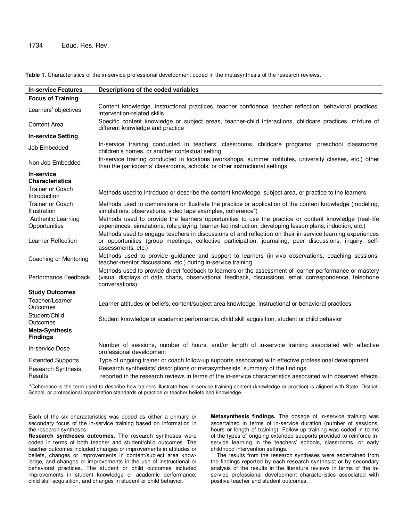**Table 1.** Characteristics of the in-service professional development coded in the metasynthesis of the research reviews.

| Descriptions of the coded variables                                                                                                                                                                                                         |
|---------------------------------------------------------------------------------------------------------------------------------------------------------------------------------------------------------------------------------------------|
|                                                                                                                                                                                                                                             |
| Content knowledge, instructional practices, teacher confidence, teacher reflection, behavioral practices,<br>intervention-related skills                                                                                                    |
| Specific content knowledge or subject areas, teacher-child interactions, childcare practices, mixture of<br>different knowledge and practice                                                                                                |
|                                                                                                                                                                                                                                             |
| In-service training conducted in teachers' classrooms, childcare programs, preschool classrooms,<br>children's homes, or another contextual setting                                                                                         |
| In-service training conducted in locations (workshops, summer institutes, university classes, etc.) other<br>than the participants' classrooms, schools, or other instructional settings                                                    |
|                                                                                                                                                                                                                                             |
| Methods used to introduce or describe the content knowledge, subject area, or practice to the learners                                                                                                                                      |
| Methods used to demonstrate or illustrate the practice or application of the content knowledge (modeling,<br>simulations, observations, video tape examples, coherence <sup>a</sup> )                                                       |
| Methods used to provide the learners opportunities to use the practice or content knowledge (real-life<br>experiences, simulations, role playing, learner-led instruction, developing lesson plans, induction, etc.)                        |
| Methods used to engage teachers in discussions of and reflection on their in-service learning experiences<br>or opportunities (group meetings, collective participation, journaling, peer discussions, inquiry, self-<br>assessments, etc.) |
| Methods used to provide guidance and support to learners (in-vivo observations, coaching sessions,<br>teacher-mentor discussions, etc.) during in-service training                                                                          |
| Methods used to provide direct feedback to learners or the assessment of learner performance or mastery<br>(visual displays of data charts, observational feedback, discussions, email correspondence, telephone<br>conversations)          |
|                                                                                                                                                                                                                                             |
| Learner attitudes or beliefs, content/subject area knowledge, instructional or behavioral practices                                                                                                                                         |
| Student knowledge or academic performance, child skill acquisition, student or child behavior                                                                                                                                               |
|                                                                                                                                                                                                                                             |
| Number of sessions, number of hours, and/or length of in-service training associated with effective<br>professional development                                                                                                             |
| Type of ongoing trainer or coach follow-up supports associated with effective professional development                                                                                                                                      |
| Research synthesists' descriptions or metasynthesists' summary of the findings<br>reported in the research reviews in terms of the in-service characteristics associated with observed effects                                              |
|                                                                                                                                                                                                                                             |

aCoherence is the term used to describe how trainers illustrate how in-service training content (knowledge or practice) is aligned with State, District, School, or professional organization standards of practice or teacher beliefs and knowledge.

Each of the six characteristics was coded as either a primary or secondary focus of the in-service training based on information in the research syntheses.

**Research syntheses outcomes.** The research syntheses were coded in terms of both teacher and student/child outcomes. The teacher outcomes included changes or improvements in attitudes or beliefs, changes or improvements in content/subject area knowledge, and changes or improvements in the use of instructional or behavioral practices. The student or child outcomes included improvements in student knowledge or academic performance, child skill acquisition, and changes in student or child behavior.

**Metasynthesis findings.** The dosage of in-service training was ascertained in terms of in-service duration (number of sessions, hours or length of training). Follow-up training was coded in terms of the types of ongoing extended supports provided to reinforce inservice learning in the teachers' schools, classrooms, or early childhood intervention settings.

The results from the research syntheses were ascertained from the findings reported by each research synthesist or by secondary analysis of the results in the literature reviews in terms of the inservice professional development characteristics associated with positive teacher and student outcomes.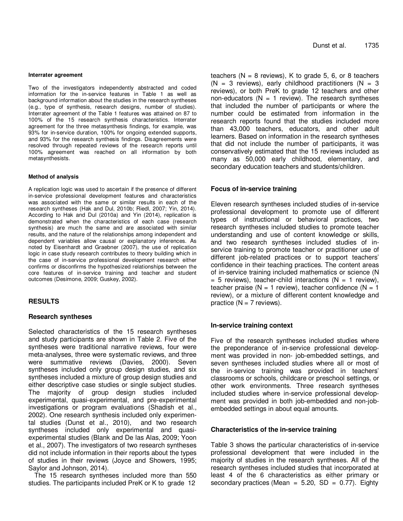#### **Interrater agreement**

Two of the investigators independently abstracted and coded information for the in-service features in Table 1 as well as background information about the studies in the research syntheses (e.g., type of synthesis, research designs, number of studies). Interrater agreement of the Table 1 features was attained on 87 to 100% of the 15 research synthesis characteristics. Interrater agreement for the three metasynthesis findings, for example, was 93% for in-service duration, 100% for ongoing extended supports, and 93% for the research synthesis findings. Disagreements were resolved through repeated reviews of the research reports until 100% agreement was reached on all information by both metasynthesists.

#### **Method of analysis**

A replication logic was used to ascertain if the presence of different in-service professional development features and characteristics was associated with the same or similar results in each of the research syntheses (Hak and Dul, 2010b; Riedl, 2007; Yin, 2014). According to Hak and Dul (2010a) and Yin (2014), replication is demonstrated when the characteristics of each case (research synthesis) are much the same and are associated with similar results, and the nature of the relationships among independent and dependent variables allow causal or explanatory inferences. As noted by Eisenhardt and Graebner (2007), the use of replication logic in case study research contributes to theory building which in the case of in-service professional development research either confirms or disconfirms the hypothesized relationships between the core features of in-service training and teacher and student outcomes (Desimone, 2009; Guskey, 2002).

# **RESULTS**

#### **Research syntheses**

Selected characteristics of the 15 research syntheses and study participants are shown in Table 2. Five of the syntheses were traditional narrative reviews, four were meta-analyses, three were systematic reviews, and three were summative reviews (Davies, 2000). Seven syntheses included only group design studies, and six syntheses included a mixture of group design studies and either descriptive case studies or single subject studies. The majority of group design studies included experimental, quasi-experimental, and pre-experimental investigations or program evaluations (Shadish et al., 2002). One research synthesis included only experimental studies (Dunst et al., 2010), and two research syntheses included only experimental and quasiexperimental studies (Blank and De las Alas, 2009; Yoon et al., 2007). The investigators of two research syntheses did not include information in their reports about the types of studies in their reviews (Joyce and Showers, 1995; Saylor and Johnson, 2014).

The 15 research syntheses included more than 550 studies. The participants included PreK or K to grade 12 teachers ( $N = 8$  reviews), K to grade 5, 6, or 8 teachers  $(N = 3$  reviews), early childhood practitioners  $(N = 3$ reviews), or both PreK to grade 12 teachers and other non-educators ( $N = 1$  review). The research syntheses that included the number of participants or where the number could be estimated from information in the research reports found that the studies included more than 43,000 teachers, educators, and other adult learners. Based on information in the research syntheses that did not include the number of participants, it was conservatively estimated that the 15 reviews included as many as 50,000 early childhood, elementary, and secondary education teachers and students/children.

#### **Focus of in-service training**

Eleven research syntheses included studies of in-service professional development to promote use of different types of instructional or behavioral practices, two research syntheses included studies to promote teacher understanding and use of content knowledge or skills, and two research syntheses included studies of inservice training to promote teacher or practitioner use of different job-related practices or to support teachers' confidence in their teaching practices. The content areas of in-service training included mathematics or science (N  $= 5$  reviews), teacher-child interactions (N  $= 1$  review), teacher praise ( $N = 1$  review), teacher confidence ( $N = 1$ review), or a mixture of different content knowledge and practice ( $N = 7$  reviews).

# **In-service training context**

Five of the research syntheses included studies where the preponderance of in-service professional development was provided in non- job-embedded settings, and seven syntheses included studies where all or most of the in-service training was provided in teachers' classrooms or schools, childcare or preschool settings, or other work environments. Three research syntheses included studies where in-service professional development was provided in both job-embedded and non-jobembedded settings in about equal amounts.

#### **Characteristics of the in-service training**

Table 3 shows the particular characteristics of in-service professional development that were included in the majority of studies in the research syntheses. All of the research syntheses included studies that incorporated at least 4 of the 6 characteristics as either primary or secondary practices (Mean =  $5.20$ , SD = 0.77). Eighty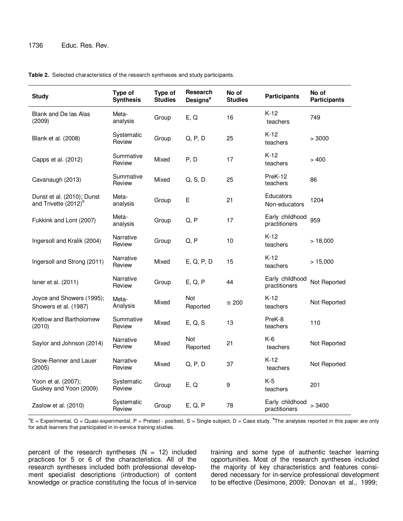# 1736 Educ. Res. Rev.

| <b>Study</b>                                                   | Type of<br><b>Synthesis</b> | Type of<br><b>Studies</b> | <b>Research</b><br><b>Designs<sup>a</sup></b> | No of<br><b>Studies</b> | <b>Participants</b>               | No of<br><b>Participants</b> |
|----------------------------------------------------------------|-----------------------------|---------------------------|-----------------------------------------------|-------------------------|-----------------------------------|------------------------------|
| <b>Blank and De las Alas</b><br>(2009)                         | Meta-<br>analysis           | Group                     | E, Q                                          | 16                      | $K-12$<br>teachers                | 749                          |
| Blank et al. (2008)                                            | Systematic<br>Review        | Group                     | Q, P, D                                       | 25                      | $K-12$<br>teachers                | > 3000                       |
| Capps et al. (2012)                                            | Summative<br>Review         | Mixed                     | P, D                                          | 17                      | $K-12$<br>teachers                | >400                         |
| Cavanaugh (2013)                                               | Summative<br>Review         | Mixed                     | Q, S, D                                       | 25                      | PreK-12<br>teachers               | 86                           |
| Dunst et al. (2010); Dunst<br>and Trivette (2012) <sup>b</sup> | Meta-<br>analysis           | Group                     | E                                             | 21                      | <b>Educators</b><br>Non-educators | 1204                         |
| Fukkink and Lont (2007)                                        | Meta-<br>analysis           | Group                     | Q, P                                          | 17                      | Early childhood<br>practitioners  | 959                          |
| Ingersoll and Kralik (2004)                                    | Narrative<br>Review         | Group                     | Q, P                                          | 10                      | $K-12$<br>teachers                | > 18,000                     |
| Ingersoll and Strong (2011)                                    | Narrative<br>Review         | Mixed                     | E, Q, P, D                                    | 15                      | $K-12$<br>teachers                | > 15,000                     |
| Isner et al. (2011)                                            | Narrative<br>Review         | Group                     | E, Q, P                                       | 44                      | Early childhood<br>practitioners  | Not Reported                 |
| Joyce and Showers (1995);<br>Showers et al. (1987)             | Meta-<br>Analysis           | Mixed                     | Not<br>Reported                               | $\approx 200$           | $K-12$<br>teachers                | Not Reported                 |
| Kretlow and Bartholomew<br>(2010)                              | Summative<br>Review         | Mixed                     | E, Q, S                                       | 13                      | PreK-8<br>teachers                | 110                          |
| Saylor and Johnson (2014)                                      | Narrative<br>Review         | Mixed                     | Not<br>Reported                               | 21                      | $K-6$<br>teachers                 | Not Reported                 |
| Snow-Renner and Lauer<br>(2005)                                | Narrative<br>Review         | Mixed                     | Q, P, D                                       | 37                      | $K-12$<br>teachers                | Not Reported                 |
| Yoon et al. (2007);<br>Guskey and Yoon (2009)                  | Systematic<br>Review        | Group                     | E, Q                                          | 9                       | $K-5$<br>teachers                 | 201                          |
| Zaslow et al. (2010)                                           | Systematic<br>Review        | Group                     | E, Q, P                                       | 78                      | Early childhood<br>practitioners  | > 3400                       |

**Table 2.** Selected characteristics of the research syntheses and study participants.

 ${}^aE$  = Experimental, Q = Quasi-experimental, P = Pretest - posttest, S = Single subject, D = Case study. <sup>b</sup>The analyses reported in this paper are only for adult learners that participated in in-service training studies.

percent of the research syntheses  $(N = 12)$  included practices for 5 or 6 of the characteristics. All of the research syntheses included both professional development specialist descriptions (introduction) of content knowledge or practice constituting the focus of in-service training and some type of authentic teacher learning opportunities. Most of the research syntheses included the majority of key characteristics and features considered necessary for in-service professional development to be effective (Desimone, 2009; Donovan et al., 1999;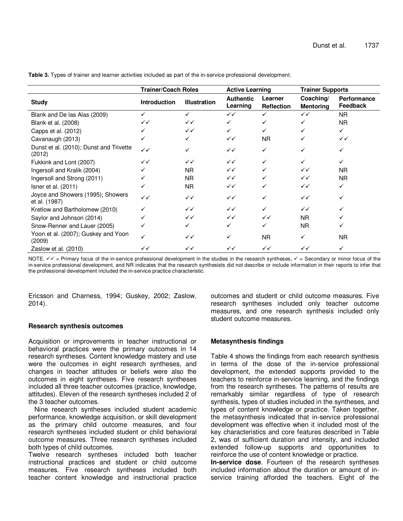|                                                    | <b>Trainer/Coach Roles</b> |                     | <b>Active Learning</b>       |                       | <b>Trainer Supports</b>       |                                |
|----------------------------------------------------|----------------------------|---------------------|------------------------------|-----------------------|-------------------------------|--------------------------------|
| <b>Study</b>                                       | Introduction               | <b>Illustration</b> | <b>Authentic</b><br>Learning | Learner<br>Reflection | Coaching/<br><b>Mentoring</b> | <b>Performance</b><br>Feedback |
| Blank and De las Alas (2009)                       |                            |                     | $\checkmark$                 | ✓                     | $\checkmark$                  | <b>NR</b>                      |
| Blank et al. (2008)                                | $\checkmark$               | $\checkmark$        | ✓                            |                       | ✓                             | NR.                            |
| Capps et al. (2012)                                |                            | $\checkmark$        | ✓                            |                       |                               | ✓                              |
| Cavanaugh (2013)                                   | ✓                          | ✓                   | $\checkmark$                 | <b>NR</b>             | ✓                             | $\checkmark$                   |
| Dunst et al. (2010); Dunst and Trivette<br>(2012)  | $\checkmark$               | $\checkmark$        | $\checkmark$                 | $\checkmark$          | ✓                             | ✓                              |
| Fukkink and Lont (2007)                            | ✓✓                         | $\checkmark$        | $\checkmark$                 | ✓                     | $\checkmark$                  | ✓                              |
| Ingersoll and Kralik (2004)                        | ✓                          | <b>NR</b>           | $\checkmark$                 |                       | ✓✓                            | N <sub>R</sub>                 |
| Ingersoll and Strong (2011)                        | ✓                          | <b>NR</b>           | ✓✓                           |                       | ✓✓                            | N <sub>R</sub>                 |
| Isner et al. (2011)                                | ✓                          | <b>NR</b>           | ✓✓                           |                       | ✓✓                            | ✓                              |
| Joyce and Showers (1995); Showers<br>et al. (1987) | ✓✓                         | $\checkmark$        | $\checkmark$                 | ✓                     | $\checkmark$                  | ✓                              |
| Kretlow and Bartholomew (2010)                     | ✓                          | $\checkmark$        | $\checkmark$                 |                       | $\checkmark$                  |                                |
| Saylor and Johnson (2014)                          | ✓                          | $\checkmark$        | $\checkmark$                 | $\checkmark$          | NR.                           |                                |
| Snow-Renner and Lauer (2005)                       | ✓                          |                     | ✓                            | ✓                     | <b>NR</b>                     |                                |
| Yoon et al. (2007); Guskey and Yoon<br>(2009)      | ✓                          | $\checkmark$        | $\checkmark$                 | <b>NR</b>             | ✓                             | NR.                            |
| Zaslow et al. (2010)                               | ✓✓                         | $\checkmark$        | $\checkmark$                 | $\checkmark$          | ✓✓                            | ✓                              |

**Table 3.** Types of trainer and learner activities included as part of the in-service professional development.

NOTE.  $\sqrt{e}$  = Primary focus of the in-service professional development in the studies in the research syntheses,  $\sqrt{e}$  = Secondary or minor focus of the in-service professional development, and NR indicates that the research synthesists did not describe or include information in their reports to infer that the professional development included the in-service practice characteristic.

Ericsson and Charness, 1994; Guskey, 2002; Zaslow, 2014).

#### **Research synthesis outcomes**

Acquisition or improvements in teacher instructional or behavioral practices were the primary outcomes in 14 research syntheses. Content knowledge mastery and use were the outcomes in eight research syntheses, and changes in teacher attitudes or beliefs were also the outcomes in eight syntheses. Five research syntheses included all three teacher outcomes (practice, knowledge, attitudes). Eleven of the research syntheses included 2 of the 3 teacher outcomes.

Nine research syntheses included student academic performance, knowledge acquisition, or skill development as the primary child outcome measures, and four research syntheses included student or child behavioral outcome measures. Three research syntheses included both types of child outcomes.

Twelve research syntheses included both teacher instructional practices and student or child outcome measures. Five research syntheses included both teacher content knowledge and instructional practice outcomes and student or child outcome measures. Five research syntheses included only teacher outcome measures, and one research synthesis included only student outcome measures.

#### **Metasynthesis findings**

Table 4 shows the findings from each research synthesis in terms of the dose of the in-service professional development, the extended supports provided to the teachers to reinforce in-service learning, and the findings from the research syntheses. The patterns of results are remarkably similar regardless of type of research synthesis, types of studies included in the syntheses, and types of content knowledge or practice. Taken together, the metasynthesis indicated that in-service professional development was effective when it included most of the key characteristics and core features described in Table 2, was of sufficient duration and intensity, and included extended follow-up supports and opportunities to reinforce the use of content knowledge or practice.

**In-service dose**. Fourteen of the research syntheses included information about the duration or amount of inservice training afforded the teachers. Eight of the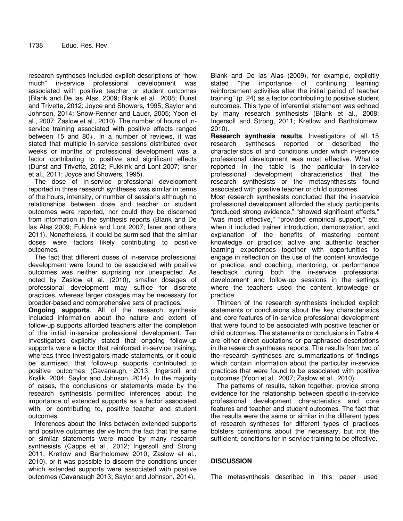research syntheses included explicit descriptions of "how much" in-service professional development was associated with positive teacher or student outcomes (Blank and De las Alas, 2009; Blank et al., 2008; Dunst and Trivette, 2012; Joyce and Showers, 1995; Saylor and Johnson, 2014; Snow-Renner and Lauer, 2005; Yoon et al., 2007; Zaslow et al., 2010). The number of hours of inservice training associated with positive effects ranged between 15 and 80+. In a number of reviews, it was stated that multiple in-service sessions distributed over weeks or months of professional development was a factor contributing to positive and significant effects (Dunst and Trivette, 2012; Fukkink and Lont 2007; Isner et al., 2011; Joyce and Showers, 1995).

The dose of in-service professional development reported in three research syntheses was similar in terms of the hours, intensity, or number of sessions although no relationships between dose and teacher or student outcomes were reported, nor could they be discerned from information in the synthesis reports (Blank and De las Alas 2009; Fukkink and Lont 2007; Isner and others 2011). Nonetheless, it could be surmised that the similar doses were factors likely contributing to positive outcomes.

The fact that different doses of in-service professional development were found to be associated with positive outcomes was neither surprising nor unexpected. As noted by Zaslow et al. (2010), smaller dosages of professional development may suffice for discrete practices, whereas larger dosages may be necessary for broader-based and comprehensive sets of practices.

**Ongoing supports**. All of the research synthesis included information about the nature and extent of follow-up supports afforded teachers after the completion of the initial in-service professional development. Ten investigators explicitly stated that ongoing follow-up supports were a factor that reinforced in-service training, whereas three investigators made statements, or it could be surmised, that follow-up supports contributed to positive outcomes (Cavanaugh, 2013; Ingersoll and Kralik, 2004; Saylor and Johnson, 2014). In the majority of cases, the conclusions or statements made by the research synthesists permitted inferences about the importance of extended supports as a factor associated with, or contributing to, positive teacher and student outcomes.

Inferences about the links between extended supports and positive outcomes derive from the fact that the same or similar statements were made by many research synthesists (Capps et al., 2012; Ingersoll and Strong 2011; Kretlow and Bartholomew 2010; Zaslow et al., 2010), or it was possible to discern the conditions under which extended supports were associated with positive outcomes (Cavanaugh 2013; Saylor and Johnson, 2014).

Blank and De las Alas (2009), for example, explicitly stated "the importance of continuing learning reinforcement activities after the initial period of teacher training" (p. 24) as a factor contributing to positive student outcomes. This type of inferential statement was echoed by many research synthesists (Blank et al., 2008; Ingersoll and Strong, 2011; Kretlow and Bartholomew, 2010).

**Research synthesis results**. Investigators of all 15 research syntheses reported or described the characteristics of and conditions under which in-service professional development was most effective. What is reported in the table is the particular in-service professional development characteristics that the research synthesists or the metasynthesists found associated with positive teacher or child outcomes.

Most research synthesists concluded that the in-service professional development afforded the study participants "produced strong evidence," "showed significant effects," "was most effective," "provided empirical support," etc. when it included trainer introduction, demonstration, and explanation of the benefits of mastering content knowledge or practice; active and authentic teacher learning experiences together with opportunities to engage in reflection on the use of the content knowledge or practice; and coaching, mentoring, or performance feedback during both the in-service professional development and follow-up sessions in the settings where the teachers used the content knowledge or practice.

Thirteen of the research synthesists included explicit statements or conclusions about the key characteristics and core features of in-service professional development that were found to be associated with positive teacher or child outcomes. The statements or conclusions in Table 4 are either direct quotations or paraphrased descriptions in the research syntheses reports. The results from two of the research syntheses are summarizations of findings which contain information about the particular in-service practices that were found to be associated with positive outcomes (Yoon et al., 2007; Zaslow et al., 2010).

The patterns of results, taken together, provide strong evidence for the relationship between specific in-service professional development characteristics and core features and teacher and student outcomes. The fact that the results were the same or similar in the different types of research syntheses for different types of practices bolsters contentions about the necessary, but not the sufficient, conditions for in-service training to be effective.

# **DISCUSSION**

The metasynthesis described in this paper used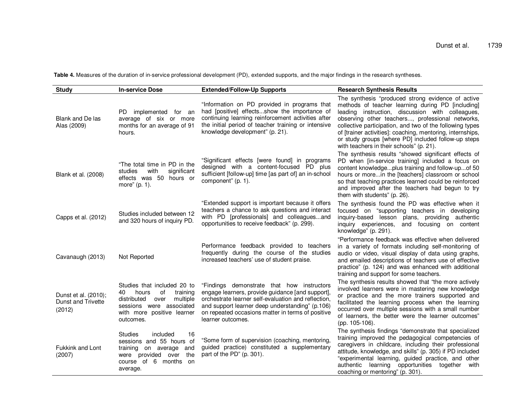**Table 4.** Measures of the duration of in-service professional development (PD), extended supports, and the major findings in the research syntheses.

| <b>Study</b>                                                | <b>In-service Dose</b>                                                                                                                                                 | <b>Extended/Follow-Up Supports</b>                                                                                                                                                                                                                                                 | <b>Research Synthesis Results</b>                                                                                                                                                                                                                                                                                                                                                                                                           |
|-------------------------------------------------------------|------------------------------------------------------------------------------------------------------------------------------------------------------------------------|------------------------------------------------------------------------------------------------------------------------------------------------------------------------------------------------------------------------------------------------------------------------------------|---------------------------------------------------------------------------------------------------------------------------------------------------------------------------------------------------------------------------------------------------------------------------------------------------------------------------------------------------------------------------------------------------------------------------------------------|
| <b>Blank and De las</b><br>Alas (2009)                      | PD implemented for an<br>average of six or more<br>months for an average of 91<br>hours.                                                                               | "Information on PD provided in programs that<br>had [positive] effectsshow the importance of<br>continuing learning reinforcement activities after<br>the initial period of teacher training or intensive<br>knowledge development" (p. 21).                                       | The synthesis "produced strong evidence of active<br>methods of teacher learning during PD [including]<br>leading instruction, discussion with colleagues,<br>observing other teachers, professional networks,<br>collective participation, and two of the following types<br>of [trainer activities]: coaching, mentoring, internships,<br>or study groups [where PD] included follow-up steps<br>with teachers in their schools" (p. 21). |
| Blank et al. (2008)                                         | "The total time in PD in the<br>with<br>significant<br>studies<br>effects was 50 hours or<br>more" (p. 1).                                                             | "Significant effects [were found] in programs<br>designed with a content-focused PD plus<br>sufficient [follow-up] time [as part of] an in-school<br>component" (p. 1).                                                                                                            | The synthesis results "showed significant effects of<br>PD when [in-service training] included a focus on<br>content knowledgeplus training and follow-upof 50<br>hours or morein the [teachers] classroom or school<br>so that teaching practices learned could be reinforced<br>and improved after the teachers had begun to try<br>them with students" (p. 26).                                                                          |
| Capps et al. (2012)                                         | Studies included between 12<br>and 320 hours of inquiry PD.                                                                                                            | "Extended support is important because it offers<br>teachers a chance to ask questions and interact<br>with PD [professionals] and colleaguesand<br>opportunities to receive feedback" (p. 299).                                                                                   | The synthesis found the PD was effective when it<br>focused on "supporting teachers in developing<br>inquiry-based lesson plans, providing authentic<br>inquiry experiences, and focusing on content<br>knowledge" (p. 291).                                                                                                                                                                                                                |
| Cavanaugh (2013)                                            | Not Reported                                                                                                                                                           | Performance feedback provided to teachers<br>frequently during the course of the studies<br>increased teachers' use of student praise.                                                                                                                                             | "Performance feedback was effective when delivered<br>in a variety of formats including self-monitoring of<br>audio or video, visual display of data using graphs,<br>and emailed descriptions of teachers use of effective<br>practice" (p. 124) and was enhanced with additional<br>training and support for some teachers.                                                                                                               |
| Dunst et al. (2010);<br><b>Dunst and Trivette</b><br>(2012) | Studies that included 20 to<br>hours<br>of<br>training<br>40<br>multiple<br>distributed<br>over<br>sessions were associated<br>with more positive learner<br>outcomes. | "Findings demonstrate that how instructors<br>engage learners, provide guidance [and support],<br>orchestrate learner self-evaluation and reflection,<br>and support learner deep understanding" (p.106)<br>on repeated occasions matter in terms of positive<br>learner outcomes. | The synthesis results showed that "the more actively<br>involved learners were in mastering new knowledge<br>or practice and the more trainers supported and<br>facilitated the learning process when the learning<br>occurred over multiple sessions with a small number<br>of learners, the better were the learner outcomes"<br>(pp. 105-106).                                                                                           |
| Fukkink and Lont<br>(2007)                                  | <b>Studies</b><br>included<br>16<br>sessions and 55 hours of<br>training on average<br>and<br>were provided over<br>the<br>course of 6 months on<br>average.           | "Some form of supervision (coaching, mentoring,<br>guided practice) constituted a supplementary<br>part of the PD" (p. 301).                                                                                                                                                       | The synthesis findings "demonstrate that specialized<br>training improved the pedagogical competencies of<br>caregivers in childcare, including their professional<br>attitude, knowledge, and skills" (p. 305) if PD included<br>"experimental learning, guided practice, and other<br>authentic learning opportunities together with<br>coaching or mentoring" (p. 301).                                                                  |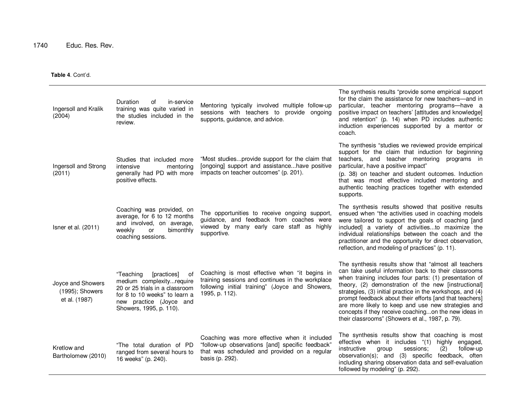**Table 4**. Cont'd.

| Ingersoll and Kralik<br>(2004)                        | Duration<br>οf<br>in-service<br>training was quite varied in<br>the studies included in the<br>review.                                                                              | Mentoring typically involved multiple follow-up<br>sessions with teachers to provide ongoing<br>supports, guidance, and advice.                                        | The synthesis results "provide some empirical support"<br>for the claim the assistance for new teachers-and in<br>particular, teacher mentoring programs-have a<br>positive impact on teachers' [attitudes and knowledge]<br>and retention" (p. 14) when PD includes authentic<br>induction experiences supported by a mentor or<br>coach.                                                                                                                                                                                 |
|-------------------------------------------------------|-------------------------------------------------------------------------------------------------------------------------------------------------------------------------------------|------------------------------------------------------------------------------------------------------------------------------------------------------------------------|----------------------------------------------------------------------------------------------------------------------------------------------------------------------------------------------------------------------------------------------------------------------------------------------------------------------------------------------------------------------------------------------------------------------------------------------------------------------------------------------------------------------------|
| Ingersoll and Strong<br>(2011)                        | Studies that included more<br>intensive<br>mentoring<br>generally had PD with more<br>positive effects.                                                                             | "Most studiesprovide support for the claim that<br>[ongoing] support and assistancehave positive<br>impacts on teacher outcomes" (p. 201).                             | The synthesis "studies we reviewed provide empirical<br>support for the claim that induction for beginning<br>teachers, and teacher mentoring programs in<br>particular, have a positive impact"<br>(p. 38) on teacher and student outcomes. Induction<br>that was most effective included mentoring and<br>authentic teaching practices together with extended<br>supports.                                                                                                                                               |
| Isner et al. (2011)                                   | Coaching was provided, on<br>average, for 6 to 12 months<br>and involved, on average,<br>bimonthly<br>weekly<br>or<br>coaching sessions.                                            | The opportunities to receive ongoing support,<br>guidance, and feedback from coaches were<br>viewed by many early care staff as highly<br>supportive.                  | The synthesis results showed that positive results<br>ensued when "the activities used in coaching models<br>were tailored to support the goals of coaching [and<br>included] a variety of activitiesto maximize the<br>individual relationships between the coach and the<br>practitioner and the opportunity for direct observation,<br>reflection, and modeling of practices" (p. 11).                                                                                                                                  |
| Joyce and Showers<br>(1995); Showers<br>et al. (1987) | "Teaching<br>[practices]<br>οf<br>medium complexityrequire<br>20 or 25 trials in a classroom<br>for 8 to 10 weeks" to learn a<br>new practice (Joyce and<br>Showers, 1995, p. 110). | Coaching is most effective when "it begins in<br>training sessions and continues in the workplace<br>following initial training" (Joyce and Showers,<br>1995, p. 112). | The synthesis results show that "almost all teachers"<br>can take useful information back to their classrooms<br>when training includes four parts: (1) presentation of<br>theory, (2) demonstration of the new [instructional]<br>strategies, (3) initial practice in the workshops, and (4)<br>prompt feedback about their efforts [and that teachers]<br>are more likely to keep and use new strategies and<br>concepts if they receive coachingon the new ideas in<br>their classrooms" (Showers et al., 1987, p. 79). |
| Kretlow and<br>Bartholomew (2010)                     | "The total duration of PD<br>ranged from several hours to<br>16 weeks" (p. 240).                                                                                                    | Coaching was more effective when it included<br>"follow-up observations [and] specific feedback"<br>that was scheduled and provided on a regular<br>basis (p. 292).    | The synthesis results show that coaching is most<br>effective when it includes "(1) highly engaged,<br>instructive<br>(2)<br>follow-up<br>group<br>sessions:<br>observation(s); and (3) specific feedback, often<br>including sharing observation data and self-evaluation<br>followed by modeling" (p. 292).                                                                                                                                                                                                              |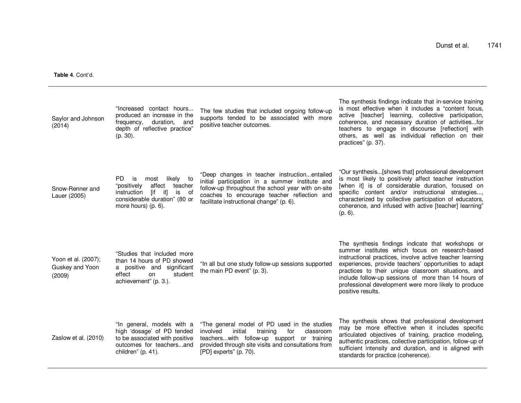**Table 4**. Cont'd.

| Saylor and Johnson<br>(2014)                     | "Increased contact hours<br>produced an increase in the<br>duration,<br>frequency,<br>and<br>depth of reflective practice"<br>$(p. 30)$ .                                 | The few studies that included ongoing follow-up<br>supports tended to be associated with more<br>positive teacher outcomes.                                                                                                                     | The synthesis findings indicate that in-service training<br>is most effective when it includes a "content focus,<br>active [teacher] learning, collective participation,<br>coherence, and necessary duration of activitiesfor<br>teachers to engage in discourse [reflection] with<br>others, as well as individual reflection on their<br>practices" (p. 37).                                                      |
|--------------------------------------------------|---------------------------------------------------------------------------------------------------------------------------------------------------------------------------|-------------------------------------------------------------------------------------------------------------------------------------------------------------------------------------------------------------------------------------------------|----------------------------------------------------------------------------------------------------------------------------------------------------------------------------------------------------------------------------------------------------------------------------------------------------------------------------------------------------------------------------------------------------------------------|
| Snow-Renner and<br>Lauer (2005)                  | PD.<br>is is<br>likely<br>most<br>to<br>affect<br>"positively<br>teacher<br>$[$ if<br>instruction<br>it]<br>is of<br>considerable duration" (80 or<br>more hours) (p. 6). | "Deep changes in teacher instructionentailed<br>initial participation in a summer institute and<br>follow-up throughout the school year with on-site<br>coaches to encourage teacher reflection and<br>facilitate instructional change" (p. 6). | "Our synthesis[shows that] professional development<br>is most likely to positively affect teacher instruction<br>[when it] is of considerable duration, focused on<br>specific content and/or instructional strategies,<br>characterized by collective participation of educators,<br>coherence, and infused with active [teacher] learning"<br>$(p. 6)$ .                                                          |
| Yoon et al. (2007);<br>Guskey and Yoon<br>(2009) | "Studies that included more<br>than 14 hours of PD showed<br>a positive and significant<br>effect<br>student<br>on<br>achievement" (p. 3.).                               | "In all but one study follow-up sessions supported<br>the main PD event" (p. 3).                                                                                                                                                                | The synthesis findings indicate that workshops or<br>summer institutes which focus on research-based<br>instructional practices, involve active teacher learning<br>experiences, provide teachers' opportunities to adapt<br>practices to their unique classroom situations, and<br>include follow-up sessions of more than 14 hours of<br>professional development were more likely to produce<br>positive results. |
| Zaslow et al. (2010)                             | "In general, models with a<br>high 'dosage' of PD tended<br>to be associated with positive<br>outcomes for teachersand<br>children" (p. 41).                              | "The general model of PD used in the studies<br>involved<br>initial<br>training<br>classroom<br>for<br>teacherswith follow-up support or training<br>provided through site visits and consultations from<br>[PD] experts" (p. 70).              | The synthesis shows that professional development<br>may be more effective when it includes specific<br>articulated objectives of training, practice modeling,<br>authentic practices, collective participation, follow-up of<br>sufficient intensity and duration, and is aligned with<br>standards for practice (coherence).                                                                                       |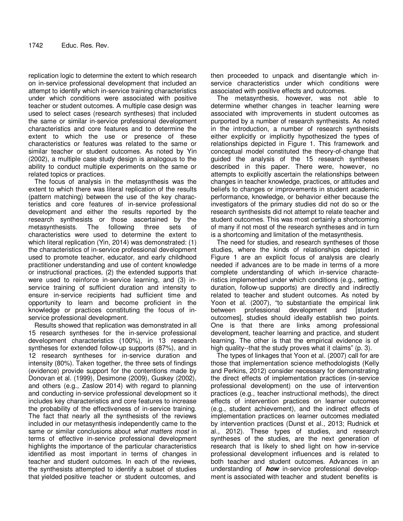replication logic to determine the extent to which research on in-service professional development that included an attempt to identify which in-service training characteristics under which conditions were associated with positive teacher or student outcomes. A multiple case design was used to select cases (research syntheses) that included the same or similar in-service professional development characteristics and core features and to determine the extent to which the use or presence of these characteristics or features was related to the same or similar teacher or student outcomes. As noted by Yin (2002), a multiple case study design is analogous to the ability to conduct multiple experiments on the same or related topics or practices.

The focus of analysis in the metasynthesis was the extent to which there was literal replication of the results (pattern matching) between the use of the key characteristics and core features of in-service professional development and either the results reported by the research synthesists or those ascertained by the metasynthesists. The following three sets of characteristics were used to determine the extent to which literal replication (Yin, 2014) was demonstrated: (1) the characteristics of in-service professional development used to promote teacher, educator, and early childhood practitioner understanding and use of content knowledge or instructional practices, (2) the extended supports that were used to reinforce in-service learning, and (3) inservice training of sufficient duration and intensity to ensure in-service recipients had sufficient time and opportunity to learn and become proficient in the knowledge or practices constituting the focus of inservice professional development.

Results showed that replication was demonstrated in all 15 research syntheses for the in-service professional development characteristics (100%), in 13 research syntheses for extended follow-up supports (87%), and in 12 research syntheses for in-service duration and intensity (80%). Taken together, the three sets of findings (evidence) provide support for the contentions made by Donovan et al. (1999), Desimone (2009), Guskey (2002), and others (e.g., Zaslow 2014) with regard to planning and conducting in-service professional development so it includes key characteristics and core features to increase the probability of the effectiveness of in-service training. The fact that nearly all the synthesists of the reviews included in our metasynthesis independently came to the same or similar conclusions about what matters most in terms of effective in-service professional development highlights the importance of the particular characteristics identified as most important in terms of changes in teacher and student outcomes. In each of the reviews, the synthesists attempted to identify a subset of studies that yielded positive teacher or student outcomes, and

then proceeded to unpack and disentangle which inservice characteristics under which conditions were associated with positive effects and outcomes.

The metasynthesis, however, was not able to determine whether changes in teacher learning were associated with improvements in student outcomes as purported by a number of research synthesists. As noted in the introduction, a number of research synthesists either explicitly or implicitly hypothesized the types of relationships depicted in Figure 1. This framework and conceptual model constituted the theory-of-change that guided the analysis of the 15 research syntheses described in this paper. There were, however, no attempts to explicitly ascertain the relationships between changes in teacher knowledge, practices, or attitudes and beliefs to changes or improvements in student academic performance, knowledge, or behavior either because the investigators of the primary studies did not do so or the research synthesists did not attempt to relate teacher and student outcomes. This was most certainly a shortcoming of many if not most of the research syntheses and in turn is a shortcoming and limitation of the metasynthesis.

The need for studies, and research syntheses of those studies, where the kinds of relationships depicted in Figure 1 are an explicit focus of analysis are clearly needed if advances are to be made in terms of a more complete understanding of which in-service characteristics implemented under which conditions (e.g., setting, duration, follow-up supports) are directly and indirectly related to teacher and student outcomes. As noted by Yoon et al. (2007), "to substantiate the empirical link between professional development and [student outcomes], studies should ideally establish two points. One is that there are links among professional development, teacher learning and practice, and student learning. The other is that the empirical evidence is of high quality--that the study proves what it claims" (p. 3).

The types of linkages that Yoon et al. (2007) call for are those that implementation science methodologists (Kelly and Perkins, 2012) consider necessary for demonstrating the direct effects of implementation practices (in-service professional development) on the use of intervention practices (e.g., teacher instructional methods), the direct effects of intervention practices on learner outcomes (e.g., student achievement), and the indirect effects of implementation practices on learner outcomes mediated by intervention practices (Dunst et al., 2013; Rudnick et al., 2012). These types of studies, and research syntheses of the studies, are the next generation of research that is likely to shed light on how in-service professional development influences and is related to both teacher and student outcomes. Advances in an understanding of **how** in-service professional development is associated with teacher and student benefits is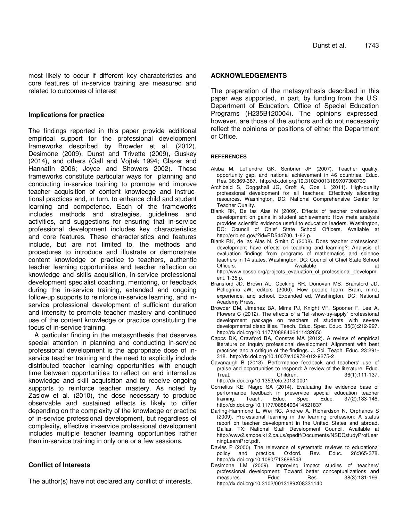most likely to occur if different key characteristics and core features of in-service training are measured and related to outcomes of interest

# **Implications for practice**

The findings reported in this paper provide additional empirical support for the professional development frameworks described by Browder et al. (2012), Desimone (2009), Dunst and Trivette (2009), Guskey (2014), and others (Gall and Vojtek 1994; Glazer and Hannafin 2006; Joyce and Showers 2002). These frameworks constitute particular ways for planning and conducting in-service training to promote and improve teacher acquisition of content knowledge and instructional practices and, in turn, to enhance child and student learning and competence. Each of the frameworks includes methods and strategies, guidelines and activities, and suggestions for ensuring that in-service professional development includes key characteristics and core features. These characteristics and features include, but are not limited to, the methods and procedures to introduce and illustrate or demonstrate content knowledge or practice to teachers, authentic teacher learning opportunities and teacher reflection on knowledge and skills acquisition, in-service professional development specialist coaching, mentoring, or feedback during the in-service training, extended and ongoing follow-up supports to reinforce in-service learning, and inservice professional development of sufficient duration and intensity to promote teacher mastery and continued use of the content knowledge or practice constituting the focus of in-service training.

A particular finding in the metasynthesis that deserves special attention in planning and conducting in-service professional development is the appropriate dose of inservice teacher training and the need to explicitly include distributed teacher learning opportunities with enough time between opportunities to reflect on and internalize knowledge and skill acquisition and to receive ongoing supports to reinforce teacher mastery. As noted by Zaslow et al. (2010), the dose necessary to produce observable and sustained effects is likely to differ depending on the complexity of the knowledge or practice of in-service professional development, but regardless of complexity, effective in-service professional development includes multiple teacher learning opportunities rather than in-service training in only one or a few sessions.

# **Conflict of Interests**

The author(s) have not declared any conflict of interests.

## **ACKNOWLEDGEMENTS**

The preparation of the metasynthesis described in this paper was supported, in part, by funding from the U.S. Department of Education, Office of Special Education Programs (H235B120004). The opinions expressed, however, are those of the authors and do not necessarily reflect the opinions or positions of either the Department or Office.

#### **REFERENCES**

- Akiba M, LeTendre GK, Scribner JP (2007). Teacher quality, opportunity gap, and national achievement in 46 countries. Educ. Res. 36:369-387. http://dx.doi.org/10.3102/0013189X07308739
- Archibald S, Coggshall JG, Croft A, Goe L (2011). High-quality professional development for all teachers: Effectively allocating resources. Washington, DC: National Comprehensive Center for Teacher Quality.
- Blank RK, De las Alas N (2009). Effects of teacher professional development on gains in student achievement: How meta analysis provides scientific evidence useful to education leaders. Washington, DC: Council of Chief State School Officers. Available at http://eric.ed.gov/?id=ED544700. 1-62 p.
- Blank RK, de las Alas N, Smith C (2008). Does teacher professional development have effects on teaching and learning?: Analysis of evaluation findings from programs of mathematics and science teachers in 14 states. Washington, DC: Council of Chief State School Officers. **Available** at the state at the state at the state at the state at the state at the state at the state at the state at the state at  $\alpha$

http://www.ccsso.org/projects\_evaluation\_of\_professional\_developm ent. 1-35 p.

- Bransford JD, Brown AL, Cocking RR, Donovan MS, Bransford JD, Pellegrino JW, editors (2000). How people learn: Brain, mind, experience, and school. Expanded ed. Washington, DC: National Academy Press.
- Browder DM, Jimenez BA, Mims PJ, Knight VF, Spooner F, Lee A, Flowers C (2012). The effects of a "tell-show-try-apply" professional development package on teachers of students with severe developmental disabilities. Teach. Educ. Spec. Educ. 35(3):212-227. http://dx.doi.org/10.1177/0888406411432650
- Capps DK, Crawford BA, Constas MA (2012). A review of empirical literature on inquiry professional development: Alignment with best practices and a critique of the findings. J. Sci. Teach. Educ. 23:291- 318. http://dx.doi.org/10.1007/s10972-012-9275-2
- Cavanaugh B (2013). Performance feedback and teachers' use of praise and opportunities to respond: A review of the literature. Educ.<br>Treat. Children. 36(1):111-137. Children. 36(1):111-137. http://dx.doi.org/10.1353/etc.2013.0001
- Cornelius KE, Nagro SA (2014). Evaluating the evidence base of performance feedback in preservice special education teacher training. Teach. Educ. Spec. Educ. 37(2):133-146. http://dx.doi.org/10.1177/0888406414521837
- Darling-Hammond L, Wei RC, Andree A, Richardson N, Orphanos S (2009). Professional learning in the learning profession: A status report on teacher development in the United States and abroad. Dallas, TX: National Staff Development Council. Available at http://www2.smcoe.k12.ca.us/spedtf/Documents/NSDCstudyProfLear ningLearnProf.pdf.
- Davies P (2000). The relevance of systematic reviews to educational policy and practice. Oxford. Rev. Educ. 26:365-378. http://dx.doi.org/10.1080/713688543
- Desimone LM (2009). Improving impact studies of teachers' professional development: Toward better conceptualizations and measures. Educ. Res. 38(3):181-199. http://dx.doi.org/10.3102/0013189X08331140